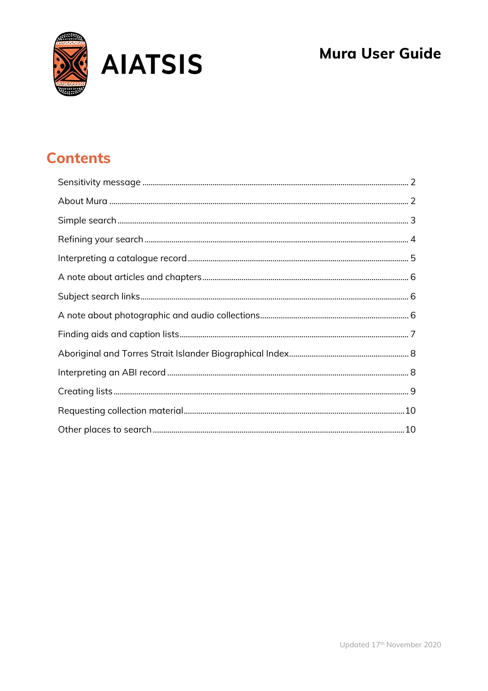

# **AIATSIS**

## **Contents**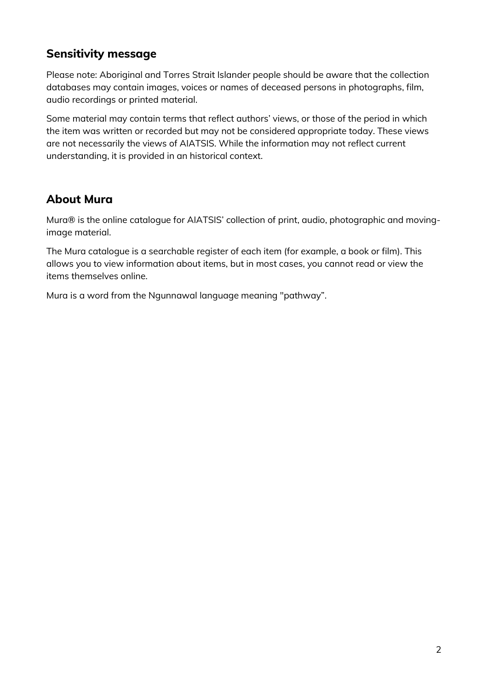#### <span id="page-1-0"></span>**Sensitivity message**

Please note: Aboriginal and Torres Strait Islander people should be aware that the collection databases may contain images, voices or names of deceased persons in photographs, film, audio recordings or printed material.

Some material may contain terms that reflect authors' views, or those of the period in which the item was written or recorded but may not be considered appropriate today. These views are not necessarily the views of AIATSIS. While the information may not reflect current understanding, it is provided in an historical context.

## <span id="page-1-1"></span>**About Mura**

Mura® is the online catalogue for AIATSIS' collection of print, audio, photographic and movingimage material.

The Mura catalogue is a searchable register of each item (for example, a book or film). This allows you to view information about items, but in most cases, you cannot read or view the items themselves online.

Mura is a word from the Ngunnawal language meaning "pathway".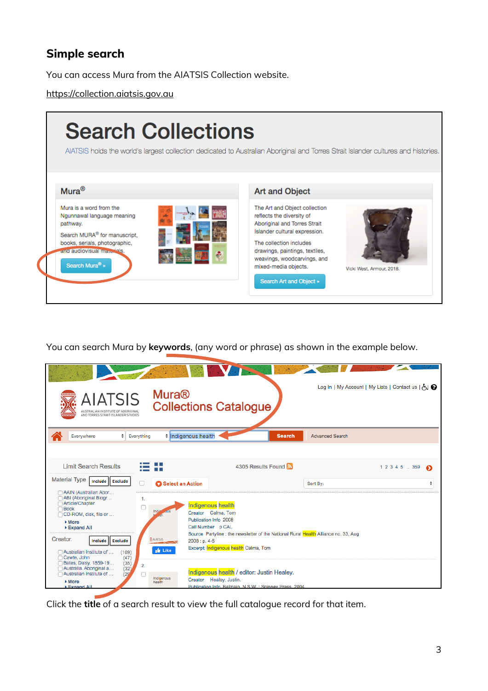### <span id="page-2-0"></span>**Simple search**

You can access Mura from the AIATSIS Collection website.

[https://collection.aiatsis.gov.au](https://collection.aiatsis.gov.au/)



You can search Mura by **keywords**, (any word or phrase) as shown in the example below.

| Mary March<br>AIATSIS<br>AUSTRALIAN INSTITUTE OF ABORIGINAL<br>AND TORRES STRAIT ISLANDER STUDIES                                                                                                             | <b>Mura®</b><br><b>Collections Catalogue</b>                                                                                                                                                                                                                          | Log In   My Account   My Lists   Contact us   $\overline{\leftarrow}$   $\bullet$ |
|---------------------------------------------------------------------------------------------------------------------------------------------------------------------------------------------------------------|-----------------------------------------------------------------------------------------------------------------------------------------------------------------------------------------------------------------------------------------------------------------------|-----------------------------------------------------------------------------------|
| Everywhere<br>$\div$<br>Everything                                                                                                                                                                            | <b>#</b> Indigenous health                                                                                                                                                                                                                                            | <b>Advanced Search</b><br><b>Search</b>                                           |
| <b>Limit Search Results</b><br>$\sim$<br><b>Material Type</b><br>Include Exclude<br>□<br>AAIN (Australian Abor                                                                                                | 4305 Results Found M<br>┯<br>Select an Action                                                                                                                                                                                                                         | 1 2 3 4 5  359<br>Sort By:                                                        |
| ABI (Aboriginal Biogr<br>1.<br>Article/Chapter<br><b>Book</b><br>CD-ROM, disk, file or<br>▶ More<br>▶ Expand All<br>Creator.<br>Exclude<br>Include<br>Australian Institute of<br>(109)<br>Cawte, John<br>(47) | Indigenous health<br>Creator Calma, Tom<br>Publication Info 2008<br>Call Number p CAL<br>Source Partyline : the newsletter of the National Rural Health Alliance no. 33, Aug<br>AIATSIS<br>$2008 : p. 4-5$<br>Excerpt: Indigenous health Calma, Tom<br><b>In Like</b> |                                                                                   |
| Bates, Daisy, 1859-19<br>(35)<br>2.<br>Australia. Aboriginal a<br>(32)<br>Australian Institute of<br>(29)<br>▶ More<br><b>Fynand All</b>                                                                      | Indigenous health / editor: Justin Healey.<br>Indigenous<br>Creator Healey, Justin.<br>health<br>Publication Info, Balmain, N.S.W.: Spinney Press, 2004                                                                                                               |                                                                                   |

Click the **title** of a search result to view the full catalogue record for that item.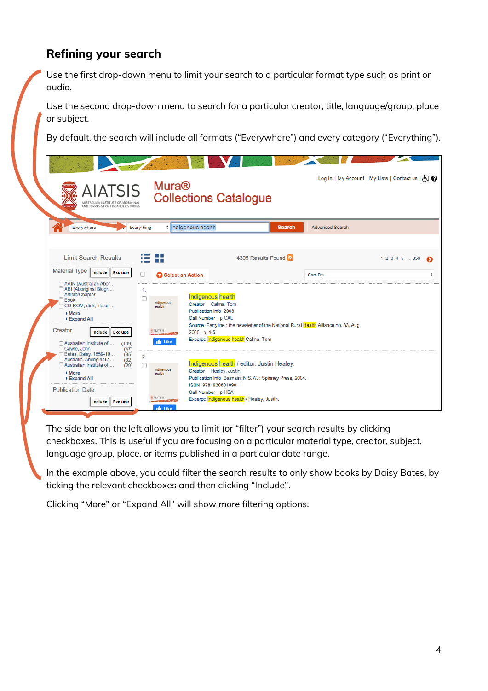## <span id="page-3-0"></span>**Refining your search**

Use the first drop-down menu to limit your search to a particular format type such as print or audio.

Use the second drop-down menu to search for a particular creator, title, language/group, place or subject.

By default, the search will include all formats ("Everywhere") and every category ("Everything").

| <b>AIATSIS</b><br>AUSTRALIAN INSTITUTE OF ABORIGINA<br>AND TORRES STRAIT ISLANDER STUDIES<br>Everywhere                                                                                                                                                                          | <b>Mura®</b><br># Indigenous health<br>Everything                                                | <b>Collections Catalogue</b><br><b>Search</b>                                                                                                                                                                                                        | <b>Advanced Search</b> | Log In   My Account   My Lists   Contact us   AJ |
|----------------------------------------------------------------------------------------------------------------------------------------------------------------------------------------------------------------------------------------------------------------------------------|--------------------------------------------------------------------------------------------------|------------------------------------------------------------------------------------------------------------------------------------------------------------------------------------------------------------------------------------------------------|------------------------|--------------------------------------------------|
| <b>Limit Search Results</b><br><b>Material Type</b><br>Include Exclude<br>AAIN (Australian Abor<br>ABI (Aboriginal Biogr<br>Article/Chapter<br><b>Book</b><br>CD-ROM, disk, file or<br>▶ More<br>▶ Expand All<br>Creator.<br>Include Exclude<br>Australian Institute of<br>(109) | Select an Action<br>1.<br>Indigenous<br>health<br>AIATSIS<br>$2008 : p. 4-5$<br><b>Info</b> Like | 4305 Results Found M<br><b>Indigenous</b> health<br>Creator Calma, Tom<br>Publication Info 2008<br>Call Number p CAL<br>Source Partyline : the newsletter of the National Rural Health Alliance no. 33, Aug<br>Excerpt: Indigenous health Calma, Tom | Sort Bv:               | 1 2 3 4 5  359<br>ഒ                              |
| Cawte, John<br>(47)<br>Bates, Daisy, 1859-19<br>(35)<br>Australia. Aboriginal a<br>(32)<br>Australian Institute of<br>(29)<br>▶ More<br>▶ Expand All<br><b>Publication Date</b><br>Include   Exclude                                                                             | 2.<br>Indigenous<br>health<br>AIATSIS<br>$\frac{1}{2}$ Like                                      | Indigenous health / editor: Justin Healey.<br>Creator Healey, Justin.<br>Publication Info Balmain, N.S.W.: Spinney Press, 2004.<br>ISBN 9781920801090<br>Call Number p HEA<br>Excerpt: Indigenous health / Healey, Justin.                           |                        |                                                  |

The side bar on the left allows you to limit (or "filter") your search results by clicking checkboxes. This is useful if you are focusing on a particular material type, creator, subject, language group, place, or items published in a particular date range.

In the example above, you could filter the search results to only show books by Daisy Bates, by ticking the relevant checkboxes and then clicking "Include".

Clicking "More" or "Expand All" will show more filtering options.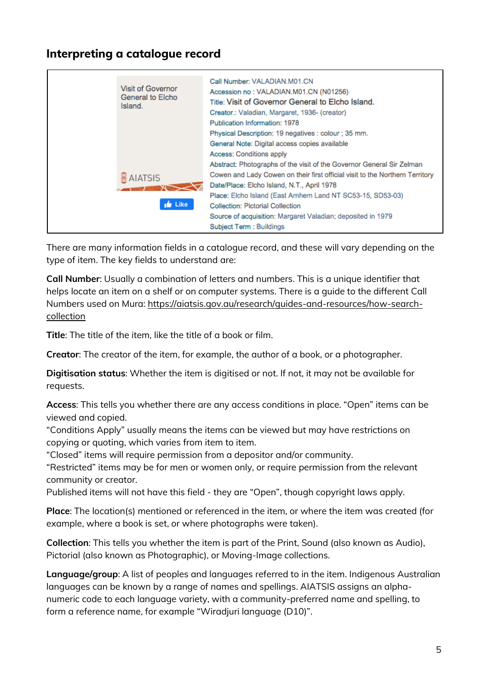#### <span id="page-4-0"></span>**Interpreting a catalogue record**



There are many information fields in a catalogue record, and these will vary depending on the type of item. The key fields to understand are:

**Call Number**: Usually a combination of letters and numbers. This is a unique identifier that helps locate an item on a shelf or on computer systems. There is a guide to the different Call Numbers used on Mura: [https://aiatsis.gov.au/research/guides-and-resources/how-search](https://aiatsis.gov.au/research/guides-and-resources/how-search-collection)[collection](https://aiatsis.gov.au/research/guides-and-resources/how-search-collection)

**Title**: The title of the item, like the title of a book or film.

**Creator**: The creator of the item, for example, the author of a book, or a photographer.

**Digitisation status**: Whether the item is digitised or not. If not, it may not be available for requests.

**Access**: This tells you whether there are any access conditions in place. "Open" items can be viewed and copied.

"Conditions Apply" usually means the items can be viewed but may have restrictions on copying or quoting, which varies from item to item.

"Closed" items will require permission from a depositor and/or community.

"Restricted" items may be for men or women only, or require permission from the relevant community or creator.

Published items will not have this field - they are "Open", though copyright laws apply.

**Place**: The location(s) mentioned or referenced in the item, or where the item was created (for example, where a book is set, or where photographs were taken).

**Collection**: This tells you whether the item is part of the Print, Sound (also known as Audio), Pictorial (also known as Photographic), or Moving-Image collections.

**Language/group**: A list of peoples and languages referred to in the item. Indigenous Australian languages can be known by a range of names and spellings. AIATSIS assigns an alphanumeric code to each language variety, with a community-preferred name and spelling, to form a reference name, for example "Wiradjuri language (D10)".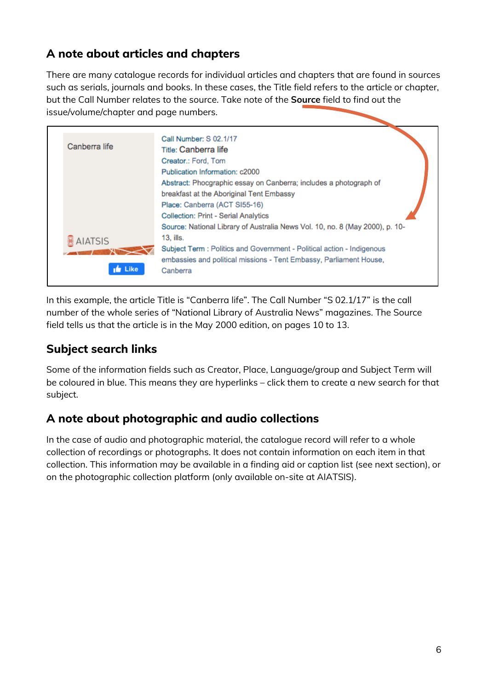## <span id="page-5-0"></span>**A note about articles and chapters**

There are many catalogue records for individual articles and chapters that are found in sources such as serials, journals and books. In these cases, the Title field refers to the article or chapter, but the Call Number relates to the source. Take note of the **Source** field to find out the issue/volume/chapter and page numbers.



In this example, the article Title is "Canberra life". The Call Number "S 02.1/17" is the call number of the whole series of "National Library of Australia News" magazines. The Source field tells us that the article is in the May 2000 edition, on pages 10 to 13.

## <span id="page-5-1"></span>**Subject search links**

Some of the information fields such as Creator, Place, Language/group and Subject Term will be coloured in blue. This means they are hyperlinks – click them to create a new search for that subject.

#### <span id="page-5-2"></span>**A note about photographic and audio collections**

In the case of audio and photographic material, the catalogue record will refer to a whole collection of recordings or photographs. It does not contain information on each item in that collection. This information may be available in a finding aid or caption list (see next section), or on the photographic collection platform (only available on-site at AIATSIS).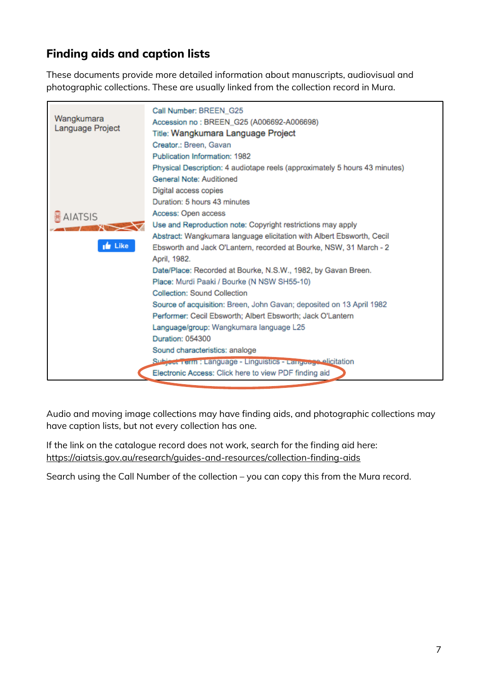## <span id="page-6-0"></span>**Finding aids and caption lists**

These documents provide more detailed information about manuscripts, audiovisual and photographic collections. These are usually linked from the collection record in Mura.

| Wangkumara<br>Accession no: BREEN_G25 (A006692-A006698)<br>Language Project<br>Title: Wangkumara Language Project<br>Creator.: Breen, Gavan<br>Publication Information: 1982<br>Physical Description: 4 audiotape reels (approximately 5 hours 43 minutes)<br>General Note: Auditioned<br>Digital access copies<br>Duration: 5 hours 43 minutes<br>Access: Open access<br><b>AIATSIS</b><br>Use and Reproduction note: Copyright restrictions may apply<br>Abstract: Wangkumara language elicitation with Albert Ebsworth, Cecil<br><b>If Like</b><br>Ebsworth and Jack O'Lantern, recorded at Bourke, NSW, 31 March - 2<br>April, 1982.<br>Date/Place: Recorded at Bourke, N.S.W., 1982, by Gavan Breen.<br>Place: Murdi Paaki / Bourke (N NSW SH55-10)<br><b>Collection: Sound Collection</b><br>Source of acquisition: Breen, John Gavan; deposited on 13 April 1982<br>Performer: Cecil Ebsworth; Albert Ebsworth; Jack O'Lantern<br>Language/group: Wangkumara language L25<br>Duration: 054300<br>Sound characteristics: analoge | Call Number: BREEN_G25                                       |
|----------------------------------------------------------------------------------------------------------------------------------------------------------------------------------------------------------------------------------------------------------------------------------------------------------------------------------------------------------------------------------------------------------------------------------------------------------------------------------------------------------------------------------------------------------------------------------------------------------------------------------------------------------------------------------------------------------------------------------------------------------------------------------------------------------------------------------------------------------------------------------------------------------------------------------------------------------------------------------------------------------------------------------------|--------------------------------------------------------------|
|                                                                                                                                                                                                                                                                                                                                                                                                                                                                                                                                                                                                                                                                                                                                                                                                                                                                                                                                                                                                                                        |                                                              |
|                                                                                                                                                                                                                                                                                                                                                                                                                                                                                                                                                                                                                                                                                                                                                                                                                                                                                                                                                                                                                                        |                                                              |
|                                                                                                                                                                                                                                                                                                                                                                                                                                                                                                                                                                                                                                                                                                                                                                                                                                                                                                                                                                                                                                        |                                                              |
|                                                                                                                                                                                                                                                                                                                                                                                                                                                                                                                                                                                                                                                                                                                                                                                                                                                                                                                                                                                                                                        |                                                              |
|                                                                                                                                                                                                                                                                                                                                                                                                                                                                                                                                                                                                                                                                                                                                                                                                                                                                                                                                                                                                                                        |                                                              |
|                                                                                                                                                                                                                                                                                                                                                                                                                                                                                                                                                                                                                                                                                                                                                                                                                                                                                                                                                                                                                                        |                                                              |
|                                                                                                                                                                                                                                                                                                                                                                                                                                                                                                                                                                                                                                                                                                                                                                                                                                                                                                                                                                                                                                        |                                                              |
|                                                                                                                                                                                                                                                                                                                                                                                                                                                                                                                                                                                                                                                                                                                                                                                                                                                                                                                                                                                                                                        |                                                              |
|                                                                                                                                                                                                                                                                                                                                                                                                                                                                                                                                                                                                                                                                                                                                                                                                                                                                                                                                                                                                                                        |                                                              |
|                                                                                                                                                                                                                                                                                                                                                                                                                                                                                                                                                                                                                                                                                                                                                                                                                                                                                                                                                                                                                                        |                                                              |
|                                                                                                                                                                                                                                                                                                                                                                                                                                                                                                                                                                                                                                                                                                                                                                                                                                                                                                                                                                                                                                        |                                                              |
|                                                                                                                                                                                                                                                                                                                                                                                                                                                                                                                                                                                                                                                                                                                                                                                                                                                                                                                                                                                                                                        |                                                              |
|                                                                                                                                                                                                                                                                                                                                                                                                                                                                                                                                                                                                                                                                                                                                                                                                                                                                                                                                                                                                                                        |                                                              |
|                                                                                                                                                                                                                                                                                                                                                                                                                                                                                                                                                                                                                                                                                                                                                                                                                                                                                                                                                                                                                                        |                                                              |
|                                                                                                                                                                                                                                                                                                                                                                                                                                                                                                                                                                                                                                                                                                                                                                                                                                                                                                                                                                                                                                        |                                                              |
|                                                                                                                                                                                                                                                                                                                                                                                                                                                                                                                                                                                                                                                                                                                                                                                                                                                                                                                                                                                                                                        |                                                              |
|                                                                                                                                                                                                                                                                                                                                                                                                                                                                                                                                                                                                                                                                                                                                                                                                                                                                                                                                                                                                                                        |                                                              |
|                                                                                                                                                                                                                                                                                                                                                                                                                                                                                                                                                                                                                                                                                                                                                                                                                                                                                                                                                                                                                                        |                                                              |
|                                                                                                                                                                                                                                                                                                                                                                                                                                                                                                                                                                                                                                                                                                                                                                                                                                                                                                                                                                                                                                        |                                                              |
|                                                                                                                                                                                                                                                                                                                                                                                                                                                                                                                                                                                                                                                                                                                                                                                                                                                                                                                                                                                                                                        |                                                              |
|                                                                                                                                                                                                                                                                                                                                                                                                                                                                                                                                                                                                                                                                                                                                                                                                                                                                                                                                                                                                                                        |                                                              |
|                                                                                                                                                                                                                                                                                                                                                                                                                                                                                                                                                                                                                                                                                                                                                                                                                                                                                                                                                                                                                                        | Subject Term : Language - Linguistics - Language elicitation |
| Electronic Access: Click here to view PDF finding aid                                                                                                                                                                                                                                                                                                                                                                                                                                                                                                                                                                                                                                                                                                                                                                                                                                                                                                                                                                                  |                                                              |

Audio and moving image collections may have finding aids, and photographic collections may have caption lists, but not every collection has one.

If the link on the catalogue record does not work, search for the finding aid here: <https://aiatsis.gov.au/research/guides-and-resources/collection-finding-aids>

Search using the Call Number of the collection – you can copy this from the Mura record.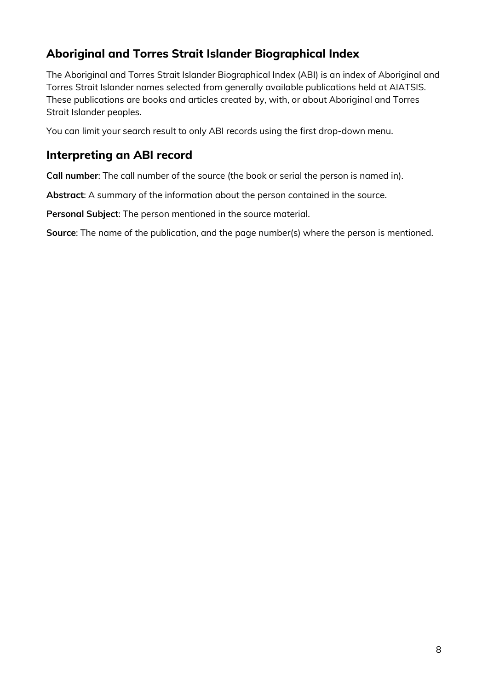## <span id="page-7-0"></span>**Aboriginal and Torres Strait Islander Biographical Index**

The Aboriginal and Torres Strait Islander Biographical Index (ABI) is an index of Aboriginal and Torres Strait Islander names selected from generally available publications held at AIATSIS. These publications are books and articles created by, with, or about Aboriginal and Torres Strait Islander peoples.

You can limit your search result to only ABI records using the first drop-down menu.

#### <span id="page-7-1"></span>**Interpreting an ABI record**

**Call number**: The call number of the source (the book or serial the person is named in).

**Abstract**: A summary of the information about the person contained in the source.

**Personal Subject**: The person mentioned in the source material.

**Source**: The name of the publication, and the page number(s) where the person is mentioned.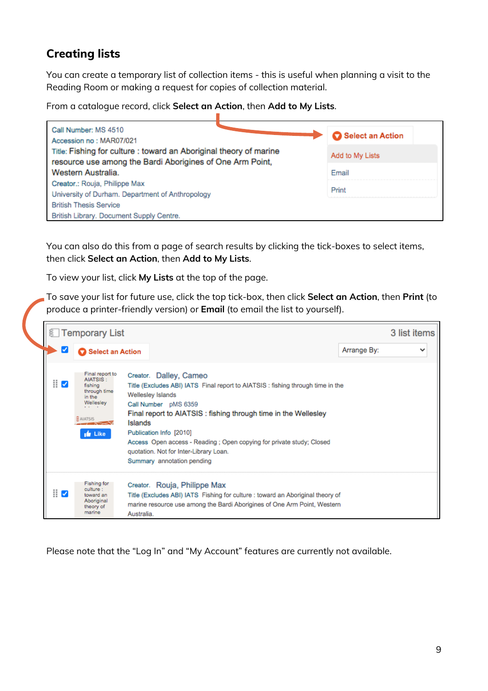## <span id="page-8-0"></span>**Creating lists**

You can create a temporary list of collection items - this is useful when planning a visit to the Reading Room or making a request for copies of collection material.

From a catalogue record, click **Select an Action**, then **Add to My Lists**.

| Call Number: MS 4510<br>Accession no: MAR07/021                                                                                 | Select an Action |
|---------------------------------------------------------------------------------------------------------------------------------|------------------|
| Title: Fishing for culture : toward an Aboriginal theory of marine<br>resource use among the Bardi Aborigines of One Arm Point, | Add to My Lists  |
| Western Australia.                                                                                                              | Email            |
| Creator.: Rouja, Philippe Max<br>University of Durham. Department of Anthropology                                               | Print            |
| <b>British Thesis Service</b><br>British Library. Document Supply Centre.                                                       |                  |

You can also do this from a page of search results by clicking the tick-boxes to select items, then click **Select an Action**, then **Add to My Lists**.

To view your list, click **My Lists** at the top of the page.

To save your list for future use, click the top tick-box, then click **Select an Action**, then **Print** (to produce a printer-friendly version) or **Email** (to email the list to yourself).

|     | <b>E</b> Temporary List                                                                                                |                                                                                                                                                                                                                                                                                                                                                                                                                       | 3 list items |
|-----|------------------------------------------------------------------------------------------------------------------------|-----------------------------------------------------------------------------------------------------------------------------------------------------------------------------------------------------------------------------------------------------------------------------------------------------------------------------------------------------------------------------------------------------------------------|--------------|
| ☑   | Select an Action                                                                                                       | Arrange By:                                                                                                                                                                                                                                                                                                                                                                                                           |              |
| ⊞ Ø | Final report to<br>AIATSIS:<br>fishing<br>through time<br>in the<br>Wellesley<br>.<br><b>AIATSIS</b><br><b>In Like</b> | Creator. Dalley, Cameo<br>Title (Excludes ABI) IATS Final report to AIATSIS: fishing through time in the<br><b>Wellesley Islands</b><br>Call Number pMS 6359<br>Final report to AIATSIS: fishing through time in the Wellesley<br>Islands<br>Publication Info [2010]<br>Access Open access - Reading ; Open copying for private study; Closed<br>quotation. Not for Inter-Library Loan.<br>Summary annotation pending |              |
| ⊞ Ø | Fishing for<br>culture :<br>toward an<br>Aboriginal<br>theory of<br>marine                                             | Creator. Rouja, Philippe Max<br>Title (Excludes ABI) IATS Fishing for culture : toward an Aboriginal theory of<br>marine resource use among the Bardi Aborigines of One Arm Point, Western<br>Australia.                                                                                                                                                                                                              |              |

Please note that the "Log In" and "My Account" features are currently not available.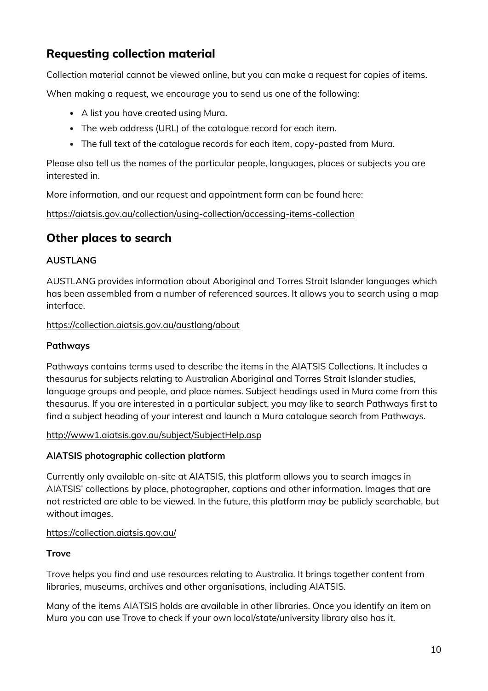### <span id="page-9-0"></span>**Requesting collection material**

Collection material cannot be viewed online, but you can make a request for copies of items.

When making a request, we encourage you to send us one of the following:

- A list you have created using Mura.
- The web address (URL) of the catalogue record for each item.
- The full text of the catalogue records for each item, copy-pasted from Mura.

Please also tell us the names of the particular people, languages, places or subjects you are interested in.

More information, and our request and appointment form can be found here:

<https://aiatsis.gov.au/collection/using-collection/accessing-items-collection>

#### <span id="page-9-1"></span>**Other places to search**

#### **AUSTLANG**

AUSTLANG provides information about Aboriginal and Torres Strait Islander languages which has been assembled from a number of referenced sources. It allows you to search using a map interface.

#### <https://collection.aiatsis.gov.au/austlang/about>

#### **Pathways**

Pathways contains terms used to describe the items in the AIATSIS Collections. It includes a thesaurus for subjects relating to Australian Aboriginal and Torres Strait Islander studies, language groups and people, and place names. Subject headings used in Mura come from this thesaurus. If you are interested in a particular subject, you may like to search Pathways first to find a subject heading of your interest and launch a Mura catalogue search from Pathways.

#### <http://www1.aiatsis.gov.au/subject/SubjectHelp.asp>

#### **AIATSIS photographic collection platform**

Currently only available on-site at AIATSIS, this platform allows you to search images in AIATSIS' collections by place, photographer, captions and other information. Images that are not restricted are able to be viewed. In the future, this platform may be publicly searchable, but without images.

#### <https://collection.aiatsis.gov.au/>

#### **Trove**

Trove helps you find and use resources relating to Australia. It brings together content from libraries, museums, archives and other organisations, including AIATSIS.

Many of the items AIATSIS holds are available in other libraries. Once you identify an item on Mura you can use Trove to check if your own local/state/university library also has it.